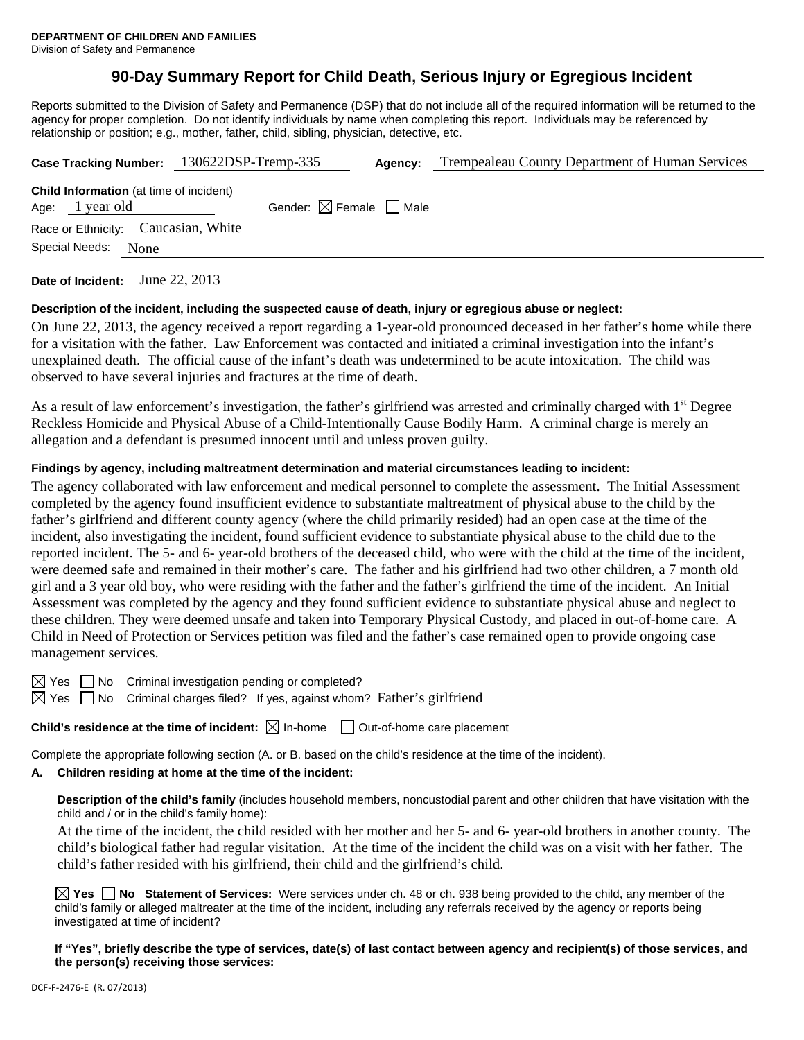## **90-Day Summary Report for Child Death, Serious Injury or Egregious Incident**

Reports submitted to the Division of Safety and Permanence (DSP) that do not include all of the required information will be returned to the agency for proper completion. Do not identify individuals by name when completing this report. Individuals may be referenced by relationship or position; e.g., mother, father, child, sibling, physician, detective, etc.

|                                                                   | Case Tracking Number: 130622DSP-Tremp-335 | Agency: | Trempealeau County Department of Human Services |
|-------------------------------------------------------------------|-------------------------------------------|---------|-------------------------------------------------|
| <b>Child Information</b> (at time of incident)<br>Age: 1 year old | Gender: $\boxtimes$ Female $\Box$ Male    |         |                                                 |
| Race or Ethnicity: Caucasian, White                               |                                           |         |                                                 |
| Special Needs: None                                               |                                           |         |                                                 |
|                                                                   |                                           |         |                                                 |

**Date of Incident:** June 22, 2013

#### **Description of the incident, including the suspected cause of death, injury or egregious abuse or neglect:**

On June 22, 2013, the agency received a report regarding a 1-year-old pronounced deceased in her father's home while there for a visitation with the father. Law Enforcement was contacted and initiated a criminal investigation into the infant's unexplained death. The official cause of the infant's death was undetermined to be acute intoxication. The child was observed to have several injuries and fractures at the time of death.

As a result of law enforcement's investigation, the father's girlfriend was arrested and criminally charged with 1<sup>st</sup> Degree Reckless Homicide and Physical Abuse of a Child-Intentionally Cause Bodily Harm. A criminal charge is merely an allegation and a defendant is presumed innocent until and unless proven guilty.

#### **Findings by agency, including maltreatment determination and material circumstances leading to incident:**

The agency collaborated with law enforcement and medical personnel to complete the assessment. The Initial Assessment completed by the agency found insufficient evidence to substantiate maltreatment of physical abuse to the child by the father's girlfriend and different county agency (where the child primarily resided) had an open case at the time of the incident, also investigating the incident, found sufficient evidence to substantiate physical abuse to the child due to the reported incident. The 5- and 6- year-old brothers of the deceased child, who were with the child at the time of the incident, were deemed safe and remained in their mother's care. The father and his girlfriend had two other children, a 7 month old girl and a 3 year old boy, who were residing with the father and the father's girlfriend the time of the incident. An Initial Assessment was completed by the agency and they found sufficient evidence to substantiate physical abuse and neglect to these children. They were deemed unsafe and taken into Temporary Physical Custody, and placed in out-of-home care. A Child in Need of Protection or Services petition was filed and the father's case remained open to provide ongoing case management services.

 $\boxtimes$  Yes  $\Box$  No Criminal investigation pending or completed?

 $\boxtimes$  Yes  $\Box$  No Criminal charges filed? If yes, against whom? Father's girlfriend

**Child's residence at the time of incident:**  $\boxtimes$  In-home  $\Box$  Out-of-home care placement

Complete the appropriate following section (A. or B. based on the child's residence at the time of the incident).

#### **A. Children residing at home at the time of the incident:**

**Description of the child's family** (includes household members, noncustodial parent and other children that have visitation with the child and / or in the child's family home):

 At the time of the incident, the child resided with her mother and her 5- and 6- year-old brothers in another county. The child's biological father had regular visitation. At the time of the incident the child was on a visit with her father. The child's father resided with his girlfriend, their child and the girlfriend's child.

**Yes No Statement of Services:** Were services under ch. 48 or ch. 938 being provided to the child, any member of the child's family or alleged maltreater at the time of the incident, including any referrals received by the agency or reports being investigated at time of incident?

**If "Yes", briefly describe the type of services, date(s) of last contact between agency and recipient(s) of those services, and the person(s) receiving those services:**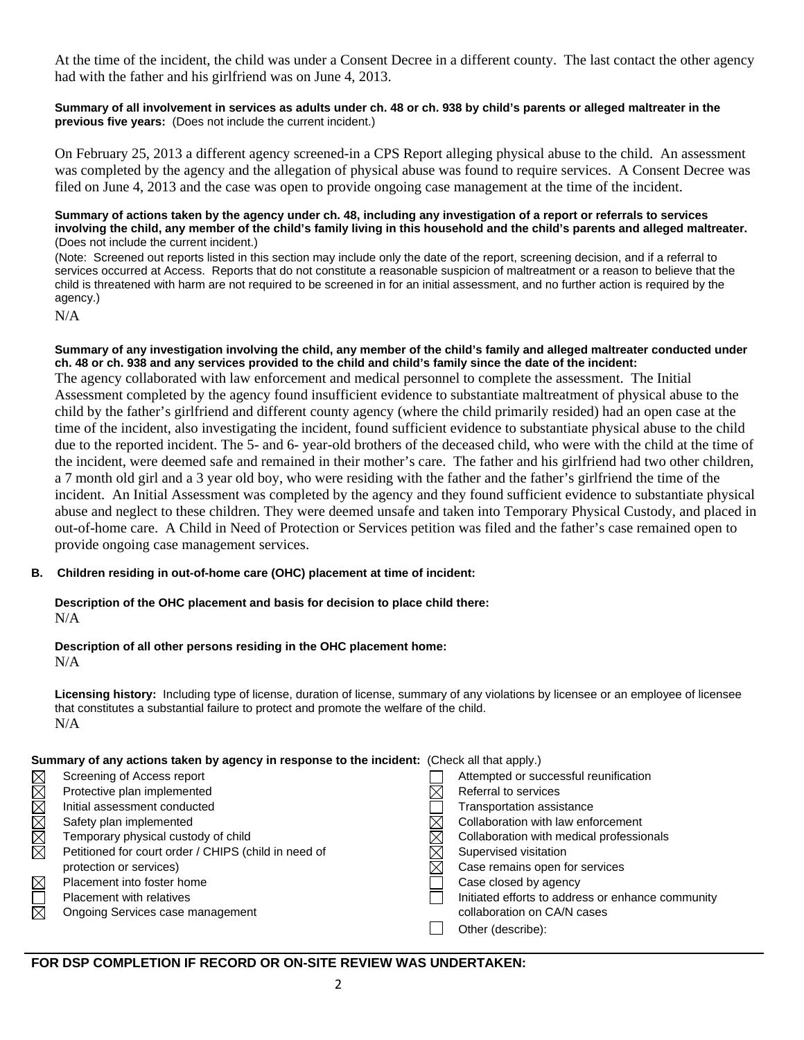At the time of the incident, the child was under a Consent Decree in a different county. The last contact the other agency had with the father and his girlfriend was on June 4, 2013.

#### **Summary of all involvement in services as adults under ch. 48 or ch. 938 by child's parents or alleged maltreater in the previous five years:** (Does not include the current incident.)

On February 25, 2013 a different agency screened-in a CPS Report alleging physical abuse to the child. An assessment was completed by the agency and the allegation of physical abuse was found to require services. A Consent Decree was filed on June 4, 2013 and the case was open to provide ongoing case management at the time of the incident.

#### **Summary of actions taken by the agency under ch. 48, including any investigation of a report or referrals to services involving the child, any member of the child's family living in this household and the child's parents and alleged maltreater.** (Does not include the current incident.)

(Note: Screened out reports listed in this section may include only the date of the report, screening decision, and if a referral to services occurred at Access. Reports that do not constitute a reasonable suspicion of maltreatment or a reason to believe that the child is threatened with harm are not required to be screened in for an initial assessment, and no further action is required by the agency.)

N/A

**Summary of any investigation involving the child, any member of the child's family and alleged maltreater conducted under ch. 48 or ch. 938 and any services provided to the child and child's family since the date of the incident:**  The agency collaborated with law enforcement and medical personnel to complete the assessment. The Initial Assessment completed by the agency found insufficient evidence to substantiate maltreatment of physical abuse to the child by the father's girlfriend and different county agency (where the child primarily resided) had an open case at the time of the incident, also investigating the incident, found sufficient evidence to substantiate physical abuse to the child due to the reported incident. The 5- and 6- year-old brothers of the deceased child, who were with the child at the time of the incident, were deemed safe and remained in their mother's care. The father and his girlfriend had two other children, a 7 month old girl and a 3 year old boy, who were residing with the father and the father's girlfriend the time of the incident. An Initial Assessment was completed by the agency and they found sufficient evidence to substantiate physical abuse and neglect to these children. They were deemed unsafe and taken into Temporary Physical Custody, and placed in out-of-home care. A Child in Need of Protection or Services petition was filed and the father's case remained open to provide ongoing case management services.

#### **B. Children residing in out-of-home care (OHC) placement at time of incident:**

# **Description of the OHC placement and basis for decision to place child there:**

N/A

# **Description of all other persons residing in the OHC placement home:**

N/A

**Licensing history:** Including type of license, duration of license, summary of any violations by licensee or an employee of licensee that constitutes a substantial failure to protect and promote the welfare of the child. N/A

#### **Summary of any actions taken by agency in response to the incident:** (Check all that apply.)

|             | Screening of Access report                           | Attempted or successful reunification             |
|-------------|------------------------------------------------------|---------------------------------------------------|
| MMMMMM      | Protective plan implemented                          | Referral to services                              |
|             | Initial assessment conducted                         | <b>Transportation assistance</b>                  |
|             | Safety plan implemented                              | Collaboration with law enforcement                |
|             | Temporary physical custody of child                  | Collaboration with medical professionals          |
|             | Petitioned for court order / CHIPS (child in need of | Supervised visitation                             |
|             | protection or services)                              | Case remains open for services                    |
| $\boxtimes$ | Placement into foster home                           | Case closed by agency                             |
| $\Box$      | <b>Placement with relatives</b>                      | Initiated efforts to address or enhance community |
|             | Ongoing Services case management                     | collaboration on CA/N cases                       |
|             |                                                      | Other (describe):                                 |
|             |                                                      |                                                   |